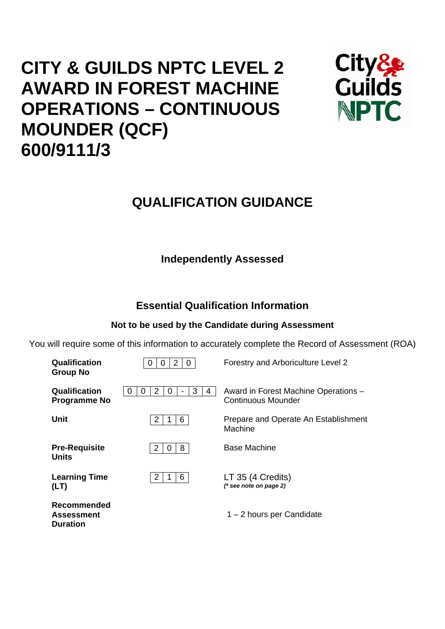# **CITY & GUILDS NPTC LEVEL 2 AWARD IN FOREST MACHINE OPERATIONS – CONTINUOUS MOUNDER (QCF) 600/9111/3**



## **QUALIFICATION GUIDANCE**

## **Independently Assessed**

## **Essential Qualification Information**

## **Not to be used by the Candidate during Assessment**

You will require some of this information to accurately complete the Record of Assessment (ROA)

| Qualification<br><b>Group No</b>                    | 2<br>0<br>0                | Forestry and Arboriculture Level 2                         |
|-----------------------------------------------------|----------------------------|------------------------------------------------------------|
| Qualification<br><b>Programme No</b>                | 2<br>3<br>0<br>0<br>4<br>0 | Award in Forest Machine Operations -<br>Continuous Mounder |
| <b>Unit</b>                                         | $\overline{2}$<br>6        | Prepare and Operate An Establishment<br>Machine            |
| <b>Pre-Requisite</b><br><b>Units</b>                | 8<br>2<br>0                | Base Machine                                               |
| <b>Learning Time</b><br>(LT)                        | 6<br>$\overline{2}$        | LT 35 (4 Credits)<br>(* see note on page 2)                |
| Recommended<br><b>Assessment</b><br><b>Duration</b> |                            | $1 - 2$ hours per Candidate                                |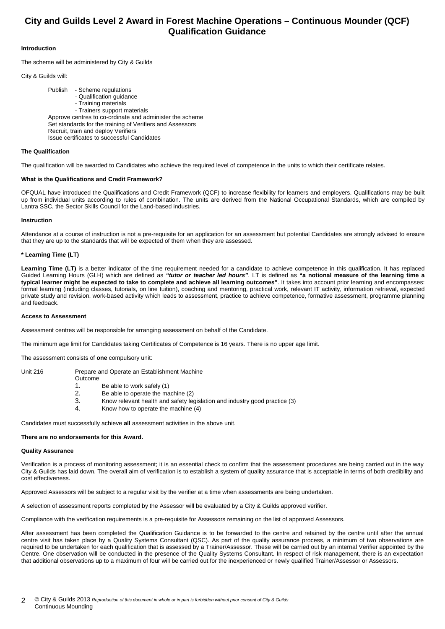### **City and Guilds Level 2 Award in Forest Machine Operations – Continuous Mounder (QCF) Qualification Guidance**

#### **Introduction**

The scheme will be administered by City & Guilds

#### City & Guilds will:

 Publish - Scheme regulations - Qualification guidance - Training materials - Trainers support materials Approve centres to co-ordinate and administer the scheme Set standards for the training of Verifiers and Assessors Recruit, train and deploy Verifiers Issue certificates to successful Candidates

#### **The Qualification**

The qualification will be awarded to Candidates who achieve the required level of competence in the units to which their certificate relates.

#### **What is the Qualifications and Credit Framework?**

OFQUAL have introduced the Qualifications and Credit Framework (QCF) to increase flexibility for learners and employers. Qualifications may be built up from individual units according to rules of combination. The units are derived from the National Occupational Standards, which are compiled by Lantra SSC, the Sector Skills Council for the Land-based industries.

#### **Instruction**

Attendance at a course of instruction is not a pre-requisite for an application for an assessment but potential Candidates are strongly advised to ensure that they are up to the standards that will be expected of them when they are assessed.

#### **\* Learning Time (LT)**

Learning Time (LT) is a better indicator of the time requirement needed for a candidate to achieve competence in this qualification. It has replaced Guided Learning Hours (GLH) which are defined as *"tutor or teacher led hours"*. LT is defined as **"a notional measure of the learning time a typical learner might be expected to take to complete and achieve all learning outcomes"**. It takes into account prior learning and encompasses: formal learning (including classes, tutorials, on line tuition), coaching and mentoring, practical work, relevant IT activity, information retrieval, expected private study and revision, work-based activity which leads to assessment, practice to achieve competence, formative assessment, programme planning and feedback.

#### **Access to Assessment**

Assessment centres will be responsible for arranging assessment on behalf of the Candidate.

The minimum age limit for Candidates taking Certificates of Competence is 16 years. There is no upper age limit.

The assessment consists of **one** compulsory unit:

- Unit 216 Prepare and Operate an Establishment Machine Outcome
	- 1. Be able to work safely (1)
	- 2. Be able to operate the machine (2)
	- 3. Know relevant health and safety legislation and industry good practice (3)
	- 4. Know how to operate the machine (4)

Candidates must successfully achieve **all** assessment activities in the above unit.

#### **There are no endorsements for this Award.**

#### **Quality Assurance**

Verification is a process of monitoring assessment; it is an essential check to confirm that the assessment procedures are being carried out in the way City & Guilds has laid down. The overall aim of verification is to establish a system of quality assurance that is acceptable in terms of both credibility and cost effectiveness.

Approved Assessors will be subject to a regular visit by the verifier at a time when assessments are being undertaken.

A selection of assessment reports completed by the Assessor will be evaluated by a City & Guilds approved verifier.

Compliance with the verification requirements is a pre-requisite for Assessors remaining on the list of approved Assessors.

After assessment has been completed the Qualification Guidance is to be forwarded to the centre and retained by the centre until after the annual centre visit has taken place by a Quality Systems Consultant (QSC). As part of the quality assurance process, a minimum of two observations are required to be undertaken for each qualification that is assessed by a Trainer/Assessor. These will be carried out by an internal Verifier appointed by the Centre. One observation will be conducted in the presence of the Quality Systems Consultant. In respect of risk management, there is an expectation that additional observations up to a maximum of four will be carried out for the inexperienced or newly qualified Trainer/Assessor or Assessors.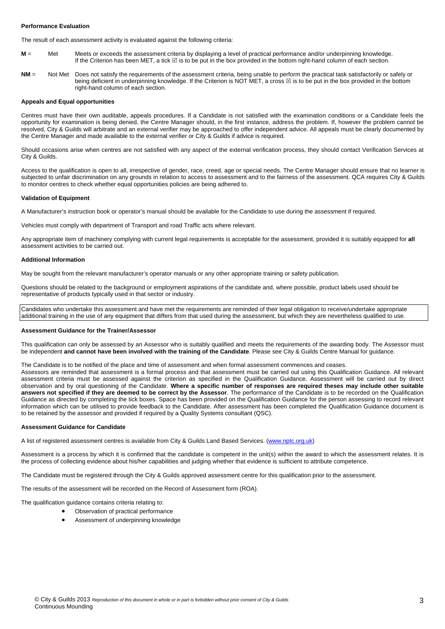#### **Performance Evaluation**

The result of each assessment activity is evaluated against the following criteria:

- **M** = Met Meets or exceeds the assessment criteria by displaying a level of practical performance and/or underpinning knowledge. If the Criterion has been MET, a tick ⊠ is to be put in the box provided in the bottom right-hand column of each section.
- **NM** = Not Met Does not satisfy the requirements of the assessment criteria, being unable to perform the practical task satisfactorily or safely or being deficient in underpinning knowledge. If the Criterion is NOT MET, a cross  $\boxtimes$  is to be put in the box provided in the bottom right-hand column of each section.

#### **Appeals and Equal opportunities**

Centres must have their own auditable, appeals procedures. If a Candidate is not satisfied with the examination conditions or a Candidate feels the opportunity for examination is being denied, the Centre Manager should, in the first instance, address the problem. If, however the problem cannot be resolved, City & Guilds will arbitrate and an external verifier may be approached to offer independent advice. All appeals must be clearly documented by the Centre Manager and made available to the external verifier or City & Guilds if advice is required.

Should occasions arise when centres are not satisfied with any aspect of the external verification process, they should contact Verification Services at City & Guilds.

Access to the qualification is open to all, irrespective of gender, race, creed, age or special needs. The Centre Manager should ensure that no learner is subjected to unfair discrimination on any grounds in relation to access to assessment and to the fairness of the assessment. QCA requires City & Guilds to monitor centres to check whether equal opportunities policies are being adhered to.

#### **Validation of Equipment**

A Manufacturer's instruction book or operator's manual should be available for the Candidate to use during the assessment if required.

Vehicles must comply with department of Transport and road Traffic acts where relevant.

Any appropriate item of machinery complying with current legal requirements is acceptable for the assessment, provided it is suitably equipped for **all** assessment activities to be carried out.

#### **Additional Information**

May be sought from the relevant manufacturer's operator manuals or any other appropriate training or safety publication.

Questions should be related to the background or employment aspirations of the candidate and, where possible, product labels used should be representative of products typically used in that sector or industry.

Candidates who undertake this assessment and have met the requirements are reminded of their legal obligation to receive/undertake appropriate additional training in the use of any equipment that differs from that used during the assessment, but which they are nevertheless qualified to use.

#### **Assessment Guidance for the Trainer/Assessor**

This qualification can only be assessed by an Assessor who is suitably qualified and meets the requirements of the awarding body. The Assessor must be independent **and cannot have been involved with the training of the Candidate**. Please see City & Guilds Centre Manual for guidance.

The Candidate is to be notified of the place and time of assessment and when formal assessment commences and ceases.

Assessors are reminded that assessment is a formal process and that assessment must be carried out using this Qualification Guidance. All relevant assessment criteria must be assessed against the criterion as specified in the Qualification Guidance. Assessment will be carried out by direct observation and by oral questioning of the Candidate. **Where a specific number of responses are required theses may include other suitable answers not specified if they are deemed to be correct by the Assessor**. The performance of the Candidate is to be recorded on the Qualification Guidance as directed by completing the tick boxes. Space has been provided on the Qualification Guidance for the person assessing to record relevant information which can be utilised to provide feedback to the Candidate. After assessment has been completed the Qualification Guidance document is to be retained by the assessor and provided if required by a Quality Systems consultant (QSC).

#### **Assessment Guidance for Candidate**

A list of registered assessment centres is available from City & Guilds Land Based Services. (www.nptc.org.uk)

Assessment is a process by which it is confirmed that the candidate is competent in the unit(s) within the award to which the assessment relates. It is the process of collecting evidence about his/her capabilities and judging whether that evidence is sufficient to attribute competence.

The Candidate must be registered through the City & Guilds approved assessment centre for this qualification prior to the assessment.

The results of the assessment will be recorded on the Record of Assessment form (ROA).

The qualification guidance contains criteria relating to:

- Observation of practical performance
- Assessment of underpinning knowledge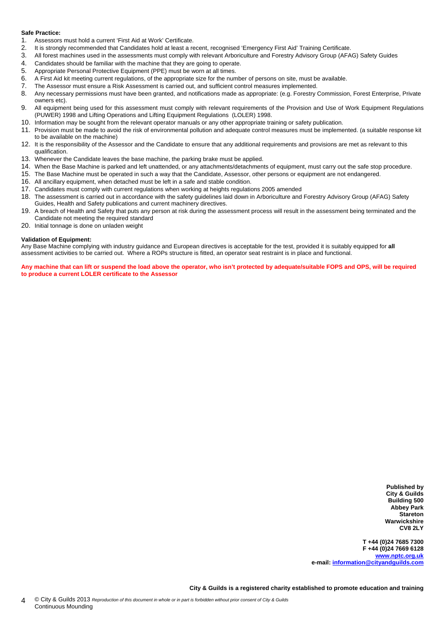#### **Safe Practice:**

- 1. Assessors must hold a current 'First Aid at Work' Certificate.
- 2. It is strongly recommended that Candidates hold at least a recent, recognised 'Emergency First Aid' Training Certificate.
- 3. All forest machines used in the assessments must comply with relevant Arboriculture and Forestry Advisory Group (AFAG) Safety Guides
- 4. Candidates should be familiar with the machine that they are going to operate.<br>5. Appropriate Personal Protective Equipment (PPE) must be worn at all times.
- Appropriate Personal Protective Equipment (PPE) must be worn at all times.
- 6. A First Aid kit meeting current regulations, of the appropriate size for the number of persons on site, must be available.
- 7. The Assessor must ensure a Risk Assessment is carried out, and sufficient control measures implemented.
- 8. Any necessary permissions must have been granted, and notifications made as appropriate: (e.g. Forestry Commission, Forest Enterprise, Private owners etc).
- 9. All equipment being used for this assessment must comply with relevant requirements of the Provision and Use of Work Equipment Regulations (PUWER) 1998 and Lifting Operations and Lifting Equipment Regulations (LOLER) 1998.
- 10. Information may be sought from the relevant operator manuals or any other appropriate training or safety publication.
- 11. Provision must be made to avoid the risk of environmental pollution and adequate control measures must be implemented. (a suitable response kit to be available on the machine)
- 12. It is the responsibility of the Assessor and the Candidate to ensure that any additional requirements and provisions are met as relevant to this qualification.
- 13. Whenever the Candidate leaves the base machine, the parking brake must be applied.
- 14. When the Base Machine is parked and left unattended, or any attachments/detachments of equipment, must carry out the safe stop procedure.
- 15. The Base Machine must be operated in such a way that the Candidate, Assessor, other persons or equipment are not endangered.
- 16. All ancillary equipment, when detached must be left in a safe and stable condition.
- 17. Candidates must comply with current regulations when working at heights regulations 2005 amended
- 18. The assessment is carried out in accordance with the safety guidelines laid down in Arboriculture and Forestry Advisory Group (AFAG) Safety Guides, Health and Safety publications and current machinery directives.
- 19. A breach of Health and Safety that puts any person at risk during the assessment process will result in the assessment being terminated and the Candidate not meeting the required standard
- 20. Initial tonnage is done on unladen weight

#### **Validation of Equipment:**

Any Base Machine complying with industry guidance and European directives is acceptable for the test, provided it is suitably equipped for **all** assessment activities to be carried out. Where a ROPs structure is fitted, an operator seat restraint is in place and functional.

**Any machine that can lift or suspend the load above the operator, who isn't protected by adequate/suitable FOPS and OPS, will be required to produce a current LOLER certificate to the Assessor** 

> **Published by City & Guilds Building 500 Abbey Park Stareton Warwickshire CV8 2LY**

**T +44 (0)24 7685 7300 F +44 (0)24 7669 6128 www.nptc.org.uk e-mail: information@cityandguilds.com**

**City & Guilds is a registered charity established to promote education and training**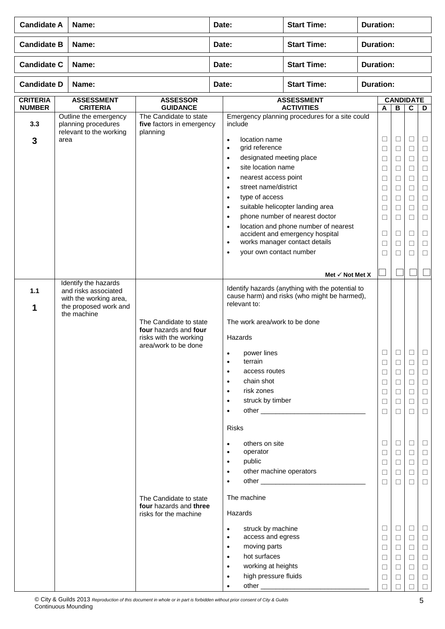| <b>Candidate A</b><br>Name:      |                                                                                        |                                                                                                   | <b>Start Time:</b><br><b>Duration:</b><br>Date: |                                                                                                                                                                                                                                                           |                                                                                                                                                                                |                  |                                                          |                                                          |                                                |                                                           |
|----------------------------------|----------------------------------------------------------------------------------------|---------------------------------------------------------------------------------------------------|-------------------------------------------------|-----------------------------------------------------------------------------------------------------------------------------------------------------------------------------------------------------------------------------------------------------------|--------------------------------------------------------------------------------------------------------------------------------------------------------------------------------|------------------|----------------------------------------------------------|----------------------------------------------------------|------------------------------------------------|-----------------------------------------------------------|
| <b>Candidate B</b>               | Name:                                                                                  |                                                                                                   | Date:                                           |                                                                                                                                                                                                                                                           | <b>Start Time:</b>                                                                                                                                                             | <b>Duration:</b> |                                                          |                                                          |                                                |                                                           |
| <b>Candidate C</b>               | Name:                                                                                  |                                                                                                   | Date:                                           |                                                                                                                                                                                                                                                           | <b>Start Time:</b>                                                                                                                                                             | <b>Duration:</b> |                                                          |                                                          |                                                |                                                           |
| <b>Candidate D</b>               | Name:                                                                                  |                                                                                                   | Date:                                           |                                                                                                                                                                                                                                                           | <b>Start Time:</b>                                                                                                                                                             | <b>Duration:</b> |                                                          |                                                          |                                                |                                                           |
| <b>CRITERIA</b><br><b>NUMBER</b> | <b>ASSESSMENT</b><br><b>CRITERIA</b>                                                   | <b>ASSESSOR</b><br><b>GUIDANCE</b>                                                                |                                                 |                                                                                                                                                                                                                                                           | <b>ASSESSMENT</b><br><b>ACTIVITIES</b>                                                                                                                                         |                  | A                                                        | <b>CANDIDATE</b><br>В                                    | $\mathbf c$                                    | D                                                         |
| 3.3<br>3                         | Outline the emergency<br>planning procedures<br>relevant to the working<br>area        | The Candidate to state<br>five factors in emergency<br>planning                                   |                                                 | include<br>location name<br>$\bullet$<br>grid reference<br>$\bullet$<br>designated meeting place<br>$\bullet$<br>site location name<br>$\bullet$<br>nearest access point<br>$\bullet$<br>street name/district<br>$\bullet$<br>type of access<br>$\bullet$ | Emergency planning procedures for a site could                                                                                                                                 |                  | $\Box$<br>$\Box$<br>□<br>$\Box$<br>$\Box$<br>Ш<br>$\Box$ | $\Box$<br>$\Box$<br>$\Box$<br>□<br>$\Box$<br>□<br>$\Box$ | ⊔<br>$\Box$<br>Ш<br>П<br>□<br>Ш<br>$\Box$      | ⊔<br>$\Box$<br>□<br>$\Box$<br>$\Box$<br>□<br>$\Box$       |
|                                  |                                                                                        |                                                                                                   |                                                 | $\bullet$<br>$\bullet$<br>$\bullet$<br>$\bullet$<br>your own contact number<br>$\bullet$                                                                                                                                                                  | suitable helicopter landing area<br>phone number of nearest doctor<br>location and phone number of nearest<br>accident and emergency hospital<br>works manager contact details |                  | □<br>$\Box$<br>$\Box$<br>$\Box$<br>□                     | □<br>$\Box$<br>$\Box$<br>$\Box$<br>⊔                     | П<br>$\Box$<br>□<br>$\Box$<br>Ш                | □<br>$\Box$<br>□<br>$\Box$<br>⊔                           |
|                                  | Identify the hazards                                                                   |                                                                                                   |                                                 |                                                                                                                                                                                                                                                           | Met $\checkmark$ Not Met X                                                                                                                                                     |                  |                                                          |                                                          |                                                |                                                           |
| 1.1<br>1                         | and risks associated<br>with the working area,<br>the proposed work and<br>the machine | The Candidate to state<br>four hazards and four<br>risks with the working<br>area/work to be done |                                                 | relevant to:<br>The work area/work to be done<br>Hazards<br>power lines<br>terrain<br>$\bullet$<br>access routes<br>$\bullet$<br>chain shot<br>$\bullet$<br>risk zones<br>$\bullet$<br>struck by timber<br>$\bullet$                                      | Identify hazards (anything with the potential to<br>cause harm) and risks (who might be harmed),                                                                               |                  | □<br>$\Box$<br>$\Box$<br>□<br>$\Box$<br>□                | $\Box$<br>$\Box$<br>$\Box$<br>$\Box$<br>$\Box$<br>□<br>□ | $\Box$<br>⊔<br>$\Box$<br>□<br>□<br>$\Box$<br>□ | $\mathbf{L}$<br>$\Box$<br>$\Box$<br>$\Box$<br>$\Box$<br>□ |
|                                  |                                                                                        | The Candidate to state<br>four hazards and three                                                  |                                                 | <b>Risks</b><br>others on site<br>$\bullet$<br>operator<br>$\bullet$<br>public<br>$\bullet$<br>other machine operators<br>$\bullet$<br>The machine                                                                                                        |                                                                                                                                                                                |                  | □<br>□<br>$\Box$<br>□<br>□                               | □<br>$\Box$<br>$\Box$<br>$\Box$<br>□                     | ⊔<br>⊔<br>$\Box$<br>□<br>$\Box$                | ⊔<br>□<br>$\Box$<br>□<br>$\Box$                           |
|                                  |                                                                                        | risks for the machine                                                                             |                                                 | Hazards<br>struck by machine<br>$\bullet$<br>access and egress<br>$\bullet$<br>moving parts<br>$\bullet$<br>hot surfaces<br>$\bullet$<br>working at heights<br>$\bullet$<br>high pressure fluids<br>$\bullet$<br>$\bullet$                                |                                                                                                                                                                                |                  | $\Box$<br>□<br>$\Box$<br>□<br>$\Box$<br>□                | $\Box$<br>$\Box$<br>$\Box$<br>$\Box$<br>□<br>⊔           | ш<br>⊔<br>$\Box$<br>⊔<br>□                     | ⊔<br>Ш<br>$\Box$<br>□<br>$\Box$<br>□<br>□                 |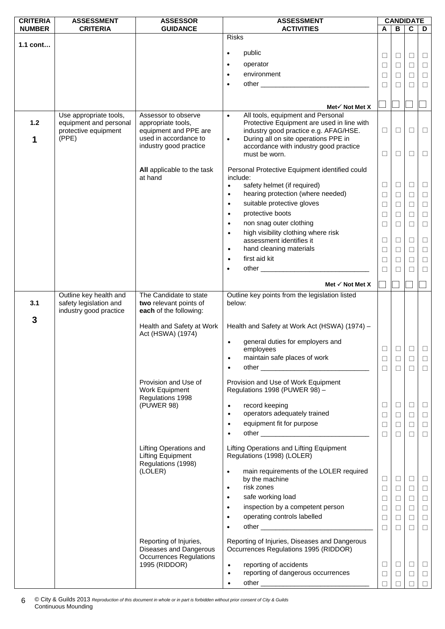| <b>CRITERIA</b> | <b>ASSESSMENT</b>      | <b>ASSESSOR</b>                | <b>ASSESSMENT</b>                                                                                              |        | <b>CANDIDATE</b> |                |          |
|-----------------|------------------------|--------------------------------|----------------------------------------------------------------------------------------------------------------|--------|------------------|----------------|----------|
| <b>NUMBER</b>   | <b>CRITERIA</b>        | <b>GUIDANCE</b>                | <b>ACTIVITIES</b>                                                                                              | A      | B                | $\overline{c}$ | D        |
|                 |                        |                                | <b>Risks</b>                                                                                                   |        |                  |                |          |
| $1.1$ cont      |                        |                                |                                                                                                                |        |                  |                |          |
|                 |                        |                                | public<br>$\bullet$                                                                                            | ⊔      | $\Box$           | ⊔              | $\Box$   |
|                 |                        |                                | operator<br>$\bullet$                                                                                          | $\Box$ | $\Box$           | $\Box$         | $\Box$   |
|                 |                        |                                |                                                                                                                |        |                  |                |          |
|                 |                        |                                | environment<br>$\bullet$                                                                                       | □      | □                | П              | $\Box$   |
|                 |                        |                                | other than the contract of the contract of the contract of the contract of the contract of the contract of the | $\Box$ | П                | П              | $\Box$   |
|                 |                        |                                |                                                                                                                |        |                  |                |          |
|                 |                        |                                |                                                                                                                |        |                  |                |          |
|                 |                        |                                | Met $\checkmark$ Not Met X                                                                                     |        |                  |                |          |
|                 | Use appropriate tools, | Assessor to observe            | All tools, equipment and Personal<br>$\bullet$                                                                 |        |                  |                |          |
| $1.2$           | equipment and personal | appropriate tools,             | Protective Equipment are used in line with                                                                     |        |                  |                |          |
|                 | protective equipment   | equipment and PPE are          | industry good practice e.g. AFAG/HSE.                                                                          | $\Box$ | $\Box$           | □              | $\Box$   |
| 1               | (PPE)                  | used in accordance to          | During all on site operations PPE in<br>$\bullet$                                                              |        |                  |                |          |
|                 |                        | industry good practice         | accordance with industry good practice                                                                         |        |                  |                |          |
|                 |                        |                                | must be worn.                                                                                                  | □      | □                | □              | $\Box$   |
|                 |                        |                                |                                                                                                                |        |                  |                |          |
|                 |                        | All applicable to the task     | Personal Protective Equipment identified could                                                                 |        |                  |                |          |
|                 |                        | at hand                        | include:                                                                                                       |        |                  |                |          |
|                 |                        |                                | safety helmet (if required)<br>$\bullet$                                                                       | $\Box$ | $\Box$           | □              | □        |
|                 |                        |                                | hearing protection (where needed)<br>$\bullet$                                                                 | $\Box$ | $\Box$           | $\Box$         | $\Box$   |
|                 |                        |                                | suitable protective gloves<br>$\bullet$                                                                        | □      | $\Box$           | $\Box$         | $\Box$   |
|                 |                        |                                | protective boots<br>$\bullet$                                                                                  | ⊔      | □                | $\Box$         | $\Box$   |
|                 |                        |                                | non snag outer clothing<br>$\bullet$                                                                           | $\Box$ | □                | □              | $\Box$   |
|                 |                        |                                |                                                                                                                |        |                  |                |          |
|                 |                        |                                | high visibility clothing where risk<br>$\bullet$                                                               |        | $\Box$           | $\Box$         |          |
|                 |                        |                                | assessment identifies it                                                                                       | $\Box$ |                  |                | $\Box$   |
|                 |                        |                                | hand cleaning materials<br>$\bullet$                                                                           | □      | $\Box$           | □              | $\Box$   |
|                 |                        |                                | first aid kit<br>$\bullet$                                                                                     | $\Box$ | $\Box$           | $\Box$         | $\Box$   |
|                 |                        |                                | ٠                                                                                                              | $\Box$ | П                | □              | $\Box$   |
|                 |                        |                                |                                                                                                                |        |                  |                |          |
|                 |                        |                                | Met $\checkmark$ Not Met X                                                                                     |        |                  |                |          |
|                 | Outline key health and | The Candidate to state         | Outline key points from the legislation listed                                                                 |        |                  |                |          |
| 3.1             | safety legislation and | two relevant points of         | below:                                                                                                         |        |                  |                |          |
|                 | industry good practice | each of the following:         |                                                                                                                |        |                  |                |          |
| 3               |                        |                                |                                                                                                                |        |                  |                |          |
|                 |                        | Health and Safety at Work      | Health and Safety at Work Act (HSWA) (1974) -                                                                  |        |                  |                |          |
|                 |                        | Act (HSWA) (1974)              |                                                                                                                |        |                  |                |          |
|                 |                        |                                | general duties for employers and<br>$\bullet$                                                                  |        |                  |                |          |
|                 |                        |                                | employees                                                                                                      | ⊔      | $\Box$           | ⊔              | $\Box$   |
|                 |                        |                                | maintain safe places of work                                                                                   | $\Box$ | $\Box$           | □              | $\Box$   |
|                 |                        |                                | $\bullet$                                                                                                      | $\Box$ | $\Box$           | $\Box$         | $\Box$   |
|                 |                        |                                |                                                                                                                |        |                  |                |          |
|                 |                        | Provision and Use of           | Provision and Use of Work Equipment                                                                            |        |                  |                |          |
|                 |                        | Work Equipment                 | Regulations 1998 (PUWER 98) -                                                                                  |        |                  |                |          |
|                 |                        | Regulations 1998               |                                                                                                                |        |                  |                |          |
|                 |                        | (PUWER 98)                     | record keeping<br>$\bullet$                                                                                    | ⊔      | $\Box$           | $\Box$         | $\sqcup$ |
|                 |                        |                                | operators adequately trained<br>$\bullet$                                                                      | $\Box$ | $\Box$           | $\Box$         | $\Box$   |
|                 |                        |                                | equipment fit for purpose<br>$\bullet$                                                                         | ⊔      | $\Box$           | □              | $\Box$   |
|                 |                        |                                |                                                                                                                | $\Box$ | $\Box$           | $\Box$         | $\Box$   |
|                 |                        |                                |                                                                                                                |        |                  |                |          |
|                 |                        | Lifting Operations and         | Lifting Operations and Lifting Equipment                                                                       |        |                  |                |          |
|                 |                        | <b>Lifting Equipment</b>       | Regulations (1998) (LOLER)                                                                                     |        |                  |                |          |
|                 |                        | Regulations (1998)             |                                                                                                                |        |                  |                |          |
|                 |                        | (LOLER)                        | main requirements of the LOLER required<br>$\bullet$                                                           |        |                  |                |          |
|                 |                        |                                | by the machine                                                                                                 | ⊔      | $\Box$           | □              | $\Box$   |
|                 |                        |                                | risk zones<br>$\bullet$                                                                                        | $\Box$ | $\Box$           | $\Box$         | $\Box$   |
|                 |                        |                                | safe working load<br>$\bullet$                                                                                 | $\Box$ | $\Box$           | $\Box$         | $\Box$   |
|                 |                        |                                | inspection by a competent person<br>$\bullet$                                                                  | $\Box$ | $\Box$           | $\Box$         | $\Box$   |
|                 |                        |                                | operating controls labelled<br>$\bullet$                                                                       | $\Box$ | $\Box$           | $\Box$         | $\Box$   |
|                 |                        |                                |                                                                                                                |        |                  |                |          |
|                 |                        |                                |                                                                                                                | □      | $\Box$           | П              | $\Box$   |
|                 |                        | Reporting of Injuries,         | Reporting of Injuries, Diseases and Dangerous                                                                  |        |                  |                |          |
|                 |                        | Diseases and Dangerous         | Occurrences Regulations 1995 (RIDDOR)                                                                          |        |                  |                |          |
|                 |                        | <b>Occurrences Regulations</b> |                                                                                                                |        |                  |                |          |
|                 |                        | 1995 (RIDDOR)                  | reporting of accidents<br>$\bullet$                                                                            | □      | $\Box$           | $\Box$         | $\Box$   |
|                 |                        |                                | reporting of dangerous occurrences<br>$\bullet$                                                                | $\Box$ | $\Box$           | $\Box$         | $\Box$   |
|                 |                        |                                | $\bullet$                                                                                                      |        |                  |                |          |
|                 |                        |                                |                                                                                                                |        |                  |                |          |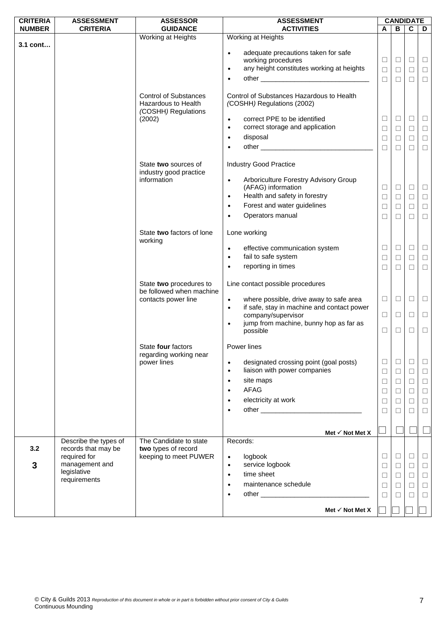| <b>CRITERIA</b> | <b>ASSESSMENT</b>     | <b>ASSESSOR</b>                            | <b>ASSESSMENT</b>                                                      |        | <b>CANDIDATE</b> |             |        |
|-----------------|-----------------------|--------------------------------------------|------------------------------------------------------------------------|--------|------------------|-------------|--------|
| <b>NUMBER</b>   | <b>CRITERIA</b>       | <b>GUIDANCE</b>                            | <b>ACTIVITIES</b>                                                      | A      | В                | $\mathbf c$ | D      |
|                 |                       | Working at Heights                         | Working at Heights                                                     |        |                  |             |        |
| 3.1 cont        |                       |                                            |                                                                        |        |                  |             |        |
|                 |                       |                                            | adequate precautions taken for safe<br>$\bullet$<br>working procedures | Ш      | $\Box$           | □           | $\Box$ |
|                 |                       |                                            | any height constitutes working at heights<br>$\bullet$                 |        |                  |             |        |
|                 |                       |                                            |                                                                        | $\Box$ | $\Box$           | $\Box$      | $\Box$ |
|                 |                       |                                            | $\bullet$                                                              | $\Box$ | $\Box$           | $\Box$      | $\Box$ |
|                 |                       |                                            |                                                                        |        |                  |             |        |
|                 |                       | <b>Control of Substances</b>               | Control of Substances Hazardous to Health                              |        |                  |             |        |
|                 |                       | Hazardous to Health<br>(COSHH) Regulations | (COSHH) Regulations (2002)                                             |        |                  |             |        |
|                 |                       | (2002)                                     | correct PPE to be identified<br>$\bullet$                              | Ц      | $\Box$           | Ц           | $\Box$ |
|                 |                       |                                            | correct storage and application<br>$\bullet$                           | $\Box$ | $\Box$           |             |        |
|                 |                       |                                            |                                                                        |        |                  | $\Box$      | $\Box$ |
|                 |                       |                                            | disposal<br>$\bullet$                                                  | $\Box$ | $\Box$           | $\Box$      | $\Box$ |
|                 |                       |                                            | $\bullet$                                                              | $\Box$ | □                | $\Box$      | $\Box$ |
|                 |                       |                                            |                                                                        |        |                  |             |        |
|                 |                       | State two sources of                       | <b>Industry Good Practice</b>                                          |        |                  |             |        |
|                 |                       | industry good practice                     |                                                                        |        |                  |             |        |
|                 |                       | information                                | Arboriculture Forestry Advisory Group<br>$\bullet$                     |        | $\Box$           |             |        |
|                 |                       |                                            | (AFAG) information                                                     | □      |                  | ⊔           | $\Box$ |
|                 |                       |                                            | Health and safety in forestry<br>$\bullet$                             | □      | $\Box$           | $\Box$      | $\Box$ |
|                 |                       |                                            | Forest and water guidelines<br>$\bullet$                               | $\Box$ | $\Box$           | $\Box$      | $\Box$ |
|                 |                       |                                            | Operators manual<br>$\bullet$                                          | $\Box$ | $\Box$           | $\Box$      | $\Box$ |
|                 |                       |                                            |                                                                        |        |                  |             |        |
|                 |                       | State two factors of lone                  | Lone working                                                           |        |                  |             |        |
|                 |                       | working                                    |                                                                        |        |                  |             |        |
|                 |                       |                                            | effective communication system<br>$\bullet$                            | □      | $\Box$           | $\Box$      | $\Box$ |
|                 |                       |                                            | fail to safe system<br>$\bullet$                                       | □      | $\Box$           | $\Box$      | $\Box$ |
|                 |                       |                                            | reporting in times                                                     | $\Box$ | $\Box$           | $\Box$      | $\Box$ |
|                 |                       |                                            |                                                                        |        |                  |             |        |
|                 |                       | State two procedures to                    | Line contact possible procedures                                       |        |                  |             |        |
|                 |                       | be followed when machine                   |                                                                        |        |                  |             |        |
|                 |                       | contacts power line                        | where possible, drive away to safe area<br>$\bullet$                   | $\Box$ | $\Box$           | $\Box$      | $\Box$ |
|                 |                       |                                            | if safe, stay in machine and contact power<br>$\bullet$                |        |                  |             |        |
|                 |                       |                                            | company/supervisor                                                     | $\Box$ | $\Box$           | $\Box$      | $\Box$ |
|                 |                       |                                            | jump from machine, bunny hop as far as<br>$\bullet$<br>possible        | $\Box$ | $\Box$           | $\Box$      | $\Box$ |
|                 |                       |                                            |                                                                        |        |                  |             |        |
|                 |                       | State four factors                         | Power lines                                                            |        |                  |             |        |
|                 |                       | regarding working near                     |                                                                        |        |                  |             |        |
|                 |                       | power lines                                | designated crossing point (goal posts)<br>$\bullet$                    | $\Box$ | $\Box$           | □           | $\Box$ |
|                 |                       |                                            | liaison with power companies<br>$\bullet$                              | □      | $\Box$           | $\Box$      | $\Box$ |
|                 |                       |                                            | site maps<br>$\bullet$                                                 | $\Box$ | $\Box$           | $\Box$      | $\Box$ |
|                 |                       |                                            | <b>AFAG</b><br>$\bullet$                                               | □      | $\Box$           | $\Box$      | $\Box$ |
|                 |                       |                                            | electricity at work                                                    |        |                  |             |        |
|                 |                       |                                            |                                                                        | Ш      | $\Box$           | □           | $\Box$ |
|                 |                       |                                            |                                                                        | $\Box$ | $\Box$           | $\Box$      | $\Box$ |
|                 |                       |                                            |                                                                        |        |                  |             |        |
|                 |                       |                                            | Met $\checkmark$ Not Met X                                             |        |                  |             |        |
|                 | Describe the types of | The Candidate to state                     | Records:                                                               |        |                  |             |        |
| 3.2             | records that may be   | two types of record                        |                                                                        |        |                  |             |        |
|                 | required for          | keeping to meet PUWER                      | logbook<br>$\bullet$                                                   | □      | $\Box$           | ⊔           | $\Box$ |
| 3               | management and        |                                            | service logbook<br>$\bullet$                                           | ⊔      | ⊔                | $\Box$      | $\Box$ |
|                 | legislative           |                                            | time sheet<br>$\bullet$                                                | $\Box$ | $\Box$           | $\Box$      | $\Box$ |
|                 | requirements          |                                            | maintenance schedule<br>$\bullet$                                      | $\Box$ | $\Box$           | $\Box$      | $\Box$ |
|                 |                       |                                            | $\bullet$                                                              |        |                  |             |        |
|                 |                       |                                            |                                                                        | ⊔      | П                | □           | $\Box$ |
|                 |                       |                                            | Met $\checkmark$ Not Met X                                             |        |                  |             |        |
|                 |                       |                                            |                                                                        |        |                  |             |        |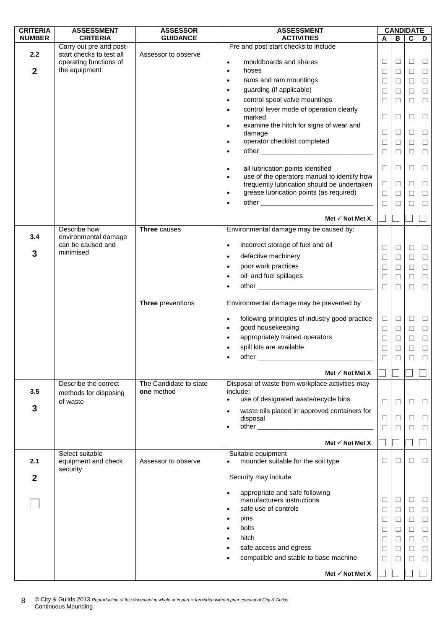| <b>CRITERIA</b>  | <b>ASSESSMENT</b>                                   | <b>ASSESSOR</b>                      | <b>ASSESSMENT</b>                                                                                          |        |              | <b>CANDIDATE</b> |        |
|------------------|-----------------------------------------------------|--------------------------------------|------------------------------------------------------------------------------------------------------------|--------|--------------|------------------|--------|
| <b>NUMBER</b>    | <b>CRITERIA</b>                                     | <b>GUIDANCE</b>                      | <b>ACTIVITIES</b>                                                                                          | A      | B            | $\mathbf c$      | D      |
| 2.2              | Carry out pre and post-<br>start checks to test all | Assessor to observe                  | Pre and post start checks to include                                                                       |        |              |                  |        |
|                  | operating functions of                              |                                      | mouldboards and shares<br>$\bullet$                                                                        | $\Box$ | $\Box$       | $\Box$           | $\Box$ |
| $\boldsymbol{2}$ | the equipment                                       |                                      | hoses<br>$\bullet$                                                                                         | $\Box$ | $\Box$       | $\Box$           | $\Box$ |
|                  |                                                     |                                      | rams and ram mountings<br>$\bullet$                                                                        | $\Box$ | □            | $\Box$           | $\Box$ |
|                  |                                                     |                                      | guarding (if applicable)<br>$\bullet$                                                                      | □      | □            | $\Box$           | $\Box$ |
|                  |                                                     |                                      | control spool valve mountings<br>$\bullet$                                                                 | $\Box$ | $\Box$       | $\Box$           | $\Box$ |
|                  |                                                     |                                      | control lever mode of operation clearly<br>$\bullet$                                                       |        |              |                  |        |
|                  |                                                     |                                      | marked                                                                                                     | $\Box$ | □            | $\Box$           | $\Box$ |
|                  |                                                     |                                      | examine the hitch for signs of wear and<br>$\bullet$                                                       |        |              |                  |        |
|                  |                                                     |                                      | damage                                                                                                     | $\Box$ | □            | $\Box$           | $\Box$ |
|                  |                                                     |                                      | operator checklist completed<br>$\bullet$                                                                  | $\Box$ | □            | ⊔                | $\Box$ |
|                  |                                                     |                                      | $\bullet$                                                                                                  | $\Box$ | □            | $\Box$           | $\Box$ |
|                  |                                                     |                                      |                                                                                                            | $\Box$ | $\Box$       | $\Box$           |        |
|                  |                                                     |                                      | all lubrication points identified<br>$\bullet$<br>use of the operators manual to identify how<br>$\bullet$ |        |              |                  | $\Box$ |
|                  |                                                     |                                      | frequently lubrication should be undertaken                                                                | $\Box$ | $\Box$       | $\Box$           | $\Box$ |
|                  |                                                     |                                      | grease lubrication points (as required)<br>$\bullet$                                                       | $\Box$ | □            | $\Box$           | $\Box$ |
|                  |                                                     |                                      | $\bullet$                                                                                                  | $\Box$ | П            | П                | $\Box$ |
|                  |                                                     |                                      |                                                                                                            |        |              |                  |        |
|                  |                                                     |                                      | Met $\checkmark$ Not Met X                                                                                 |        |              |                  |        |
|                  | Describe how                                        | Three causes                         | Environmental damage may be caused by:                                                                     |        |              |                  |        |
| 3.4              | environmental damage<br>can be caused and           |                                      |                                                                                                            |        |              |                  |        |
| 3                | minimised                                           |                                      | incorrect storage of fuel and oil<br>$\bullet$                                                             | $\Box$ | □            | $\Box$           | $\Box$ |
|                  |                                                     |                                      | defective machinery<br>$\bullet$                                                                           | $\Box$ | $\Box$       | $\Box$           | $\Box$ |
|                  |                                                     |                                      | poor work practices<br>$\bullet$                                                                           | $\Box$ | $\Box$       | $\Box$           | $\Box$ |
|                  |                                                     |                                      | oil and fuel spillages<br>$\bullet$                                                                        | □      | □            | □                | $\Box$ |
|                  |                                                     |                                      | $\bullet$                                                                                                  | $\Box$ | $\Box$       | $\Box$           | $\Box$ |
|                  |                                                     |                                      |                                                                                                            |        |              |                  |        |
|                  |                                                     | Three preventions                    | Environmental damage may be prevented by                                                                   |        |              |                  |        |
|                  |                                                     |                                      | following principles of industry good practice<br>$\bullet$                                                | $\Box$ | $\Box$       | $\Box$           | $\Box$ |
|                  |                                                     |                                      | good housekeeping<br>$\bullet$                                                                             | $\Box$ | $\Box$       | $\Box$           | $\Box$ |
|                  |                                                     |                                      | appropriately trained operators<br>$\bullet$                                                               | $\Box$ | $\Box$       | $\Box$           | $\Box$ |
|                  |                                                     |                                      | spill kits are available<br>$\bullet$                                                                      | $\Box$ | □            | $\Box$           | $\Box$ |
|                  |                                                     |                                      | $\bullet$                                                                                                  | $\Box$ | $\Box$       | $\Box$           | $\Box$ |
|                  |                                                     |                                      |                                                                                                            |        |              |                  |        |
|                  |                                                     |                                      | Met $\checkmark$ Not Met X                                                                                 |        |              |                  |        |
| 3.5              | Describe the correct<br>methods for disposing       | The Candidate to state<br>one method | Disposal of waste from workplace activities may<br>include:                                                |        |              |                  |        |
|                  | of waste                                            |                                      | use of designated waste/recycle bins<br>$\bullet$                                                          | $\Box$ | □            | □                | □      |
| 3                |                                                     |                                      | waste oils placed in approved containers for<br>$\bullet$                                                  |        |              |                  |        |
|                  |                                                     |                                      | disposal                                                                                                   | ⊔      | ⊔            | □                | □      |
|                  |                                                     |                                      | $\bullet$                                                                                                  | $\Box$ | □            | П                | $\Box$ |
|                  |                                                     |                                      | Met $\checkmark$ Not Met X                                                                                 |        |              |                  |        |
|                  | Select suitable                                     |                                      | Suitable equipment                                                                                         |        |              |                  |        |
| 2.1              | equipment and check                                 | Assessor to observe                  | mounder suitable for the soil type<br>$\bullet$                                                            | □      | ⊔            | □                | □      |
|                  | security                                            |                                      |                                                                                                            |        |              |                  |        |
| 2                |                                                     |                                      | Security may include                                                                                       |        |              |                  |        |
|                  |                                                     |                                      | appropriate and safe following<br>$\bullet$                                                                |        |              |                  |        |
|                  |                                                     |                                      | manufacturers instructions                                                                                 | $\Box$ | □            | $\Box$           | $\Box$ |
|                  |                                                     |                                      | safe use of controls<br>$\bullet$                                                                          | ⊔      | ⊔            | □                | □      |
|                  |                                                     |                                      | pins<br>$\bullet$                                                                                          | □      | □            | $\Box$           | $\Box$ |
|                  |                                                     |                                      | bolts<br>$\bullet$                                                                                         | □      | ⊔            | □                | $\Box$ |
|                  |                                                     |                                      | hitch<br>$\bullet$                                                                                         | ⊔      | ⊔            | $\Box$           | $\Box$ |
|                  |                                                     |                                      | safe access and egress<br>$\bullet$                                                                        |        | □            | $\Box$           |        |
|                  |                                                     |                                      | compatible and stable to base machine<br>$\bullet$                                                         | $\Box$ |              |                  | $\Box$ |
|                  |                                                     |                                      |                                                                                                            | П      | $\mathbf{L}$ | □                | □      |
|                  |                                                     |                                      | Met $\checkmark$ Not Met X                                                                                 |        |              |                  |        |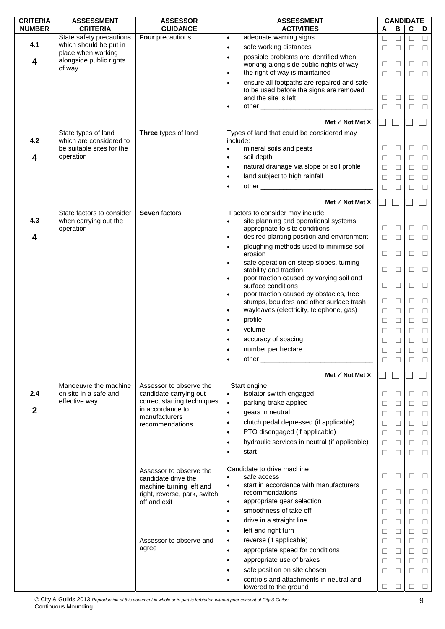| <b>CRITERIA</b>  | <b>ASSESSMENT</b>                                  | <b>ASSESSOR</b>                              | <b>ASSESSMENT</b>                                                                                |        |              | <b>CANDIDATE</b> |        |
|------------------|----------------------------------------------------|----------------------------------------------|--------------------------------------------------------------------------------------------------|--------|--------------|------------------|--------|
| <b>NUMBER</b>    | <b>CRITERIA</b>                                    | <b>GUIDANCE</b>                              | <b>ACTIVITIES</b>                                                                                | A      | $\, {\bf B}$ | $\mathbf c$      | D      |
| 4.1              | State safety precautions<br>which should be put in | <b>Four</b> precautions                      | adequate warning signs<br>$\bullet$                                                              | $\Box$ | $\Box$       | $\Box$           | $\Box$ |
|                  | place when working                                 |                                              | safe working distances<br>$\bullet$                                                              | □      | П            | П                | $\Box$ |
| 4                | alongside public rights                            |                                              | possible problems are identified when<br>$\bullet$                                               |        |              |                  |        |
|                  | of way                                             |                                              | working along side public rights of way<br>the right of way is maintained<br>$\bullet$           | □      | □            | □                | $\Box$ |
|                  |                                                    |                                              | ensure all footpaths are repaired and safe                                                       | □      | $\Box$       | П                | $\Box$ |
|                  |                                                    |                                              | $\bullet$<br>to be used before the signs are removed                                             |        |              |                  |        |
|                  |                                                    |                                              | and the site is left                                                                             | □      | □            | □                | $\Box$ |
|                  |                                                    |                                              | $\bullet$                                                                                        | □      | $\Box$       | □                | $\Box$ |
|                  |                                                    |                                              |                                                                                                  |        |              |                  |        |
|                  |                                                    |                                              | Met $\checkmark$ Not Met X                                                                       |        |              |                  |        |
| 4.2              | State types of land<br>which are considered to     | Three types of land                          | Types of land that could be considered may<br>include:                                           |        |              |                  |        |
|                  | be suitable sites for the                          |                                              | mineral soils and peats<br>$\bullet$                                                             | $\Box$ | $\Box$       | □                | $\Box$ |
| 4                | operation                                          |                                              | soil depth<br>$\bullet$                                                                          | □      | $\Box$       | □                | $\Box$ |
|                  |                                                    |                                              | natural drainage via slope or soil profile<br>$\bullet$                                          | □      | $\Box$       | □                | $\Box$ |
|                  |                                                    |                                              | land subject to high rainfall<br>$\bullet$                                                       | $\Box$ | $\Box$       | $\Box$           | $\Box$ |
|                  |                                                    |                                              | $\bullet$                                                                                        | □      | П            | П                | $\Box$ |
|                  |                                                    |                                              |                                                                                                  |        |              |                  |        |
|                  |                                                    |                                              | Met $\checkmark$ Not Met X                                                                       |        |              |                  |        |
|                  | State factors to consider                          | Seven factors                                | Factors to consider may include                                                                  |        |              |                  |        |
| 4.3              | when carrying out the                              |                                              | site planning and operational systems<br>$\bullet$                                               |        |              |                  |        |
|                  | operation                                          |                                              | appropriate to site conditions                                                                   | $\Box$ | □            | Ш                | $\Box$ |
| 4                |                                                    |                                              | desired planting position and environment<br>$\bullet$                                           | $\Box$ | $\Box$       | $\Box$           | $\Box$ |
|                  |                                                    |                                              | ploughing methods used to minimise soil<br>$\bullet$<br>erosion                                  | $\Box$ | $\Box$       | □                | $\Box$ |
|                  |                                                    |                                              | safe operation on steep slopes, turning<br>$\bullet$                                             |        |              |                  |        |
|                  |                                                    |                                              | stability and traction                                                                           | $\Box$ | □            | □                | $\Box$ |
|                  |                                                    |                                              | poor traction caused by varying soil and<br>$\bullet$                                            |        |              |                  |        |
|                  |                                                    |                                              | surface conditions                                                                               | $\Box$ | $\Box$       | □                | $\Box$ |
|                  |                                                    |                                              | poor traction caused by obstacles, tree<br>$\bullet$                                             | $\Box$ | □            | □                |        |
|                  |                                                    |                                              | stumps, boulders and other surface trash<br>wayleaves (electricity, telephone, gas)<br>$\bullet$ |        |              |                  | $\Box$ |
|                  |                                                    |                                              | profile                                                                                          | $\Box$ | $\Box$       | □                | $\Box$ |
|                  |                                                    |                                              | $\bullet$<br>volume                                                                              | $\Box$ | $\Box$       | $\Box$           | $\Box$ |
|                  |                                                    |                                              | $\bullet$                                                                                        | □      | $\Box$       | $\Box$           | $\Box$ |
|                  |                                                    |                                              | accuracy of spacing                                                                              | □      | $\Box$       | $\Box$           | $\Box$ |
|                  |                                                    |                                              | number per hectare                                                                               | $\Box$ |              |                  | $\Box$ |
|                  |                                                    |                                              | $\bullet$                                                                                        | □      | ⊔            |                  | П      |
|                  |                                                    |                                              | Met $\checkmark$ Not Met X                                                                       |        |              |                  |        |
|                  | Manoeuvre the machine                              | Assessor to observe the                      | Start engine                                                                                     |        |              |                  |        |
| 2.4              | on site in a safe and                              | candidate carrying out                       | isolator switch engaged<br>$\bullet$                                                             | □      | ⊔            | $\mathbf{I}$     | ⊔      |
|                  | effective way                                      | correct starting techniques                  | parking brake applied<br>$\bullet$                                                               | $\Box$ | $\Box$       | □                | $\Box$ |
| $\boldsymbol{2}$ |                                                    | in accordance to<br>manufacturers            | gears in neutral<br>$\bullet$                                                                    | □      | □            | □                | $\Box$ |
|                  |                                                    | recommendations                              | clutch pedal depressed (if applicable)<br>$\bullet$                                              | $\Box$ | $\Box$       | □                | $\Box$ |
|                  |                                                    |                                              | PTO disengaged (if applicable)<br>$\bullet$                                                      | □      | $\Box$       | □                | $\Box$ |
|                  |                                                    |                                              | hydraulic services in neutral (if applicable)<br>$\bullet$                                       | □      | □            | $\mathbf{L}$     | $\Box$ |
|                  |                                                    |                                              | start<br>$\bullet$                                                                               | $\Box$ | $\Box$       | П                | $\Box$ |
|                  |                                                    |                                              |                                                                                                  |        |              |                  |        |
|                  |                                                    | Assessor to observe the                      | Candidate to drive machine                                                                       |        |              |                  |        |
|                  |                                                    | candidate drive the                          | safe access<br>$\bullet$                                                                         | □      | $\Box$       | ⊔                | ⊔      |
|                  |                                                    | machine turning left and                     | start in accordance with manufacturers<br>$\bullet$<br>recommendations                           | □      | □            | ⊔                | ⊔      |
|                  |                                                    | right, reverse, park, switch<br>off and exit | appropriate gear selection<br>$\bullet$                                                          | □      | $\Box$       | □                | $\Box$ |
|                  |                                                    |                                              | smoothness of take off<br>$\bullet$                                                              | □      | □            | П                | $\Box$ |
|                  |                                                    |                                              | drive in a straight line<br>$\bullet$                                                            | $\Box$ | $\Box$       | □                |        |
|                  |                                                    |                                              | left and right turn<br>$\bullet$                                                                 |        | $\Box$       |                  | $\Box$ |
|                  |                                                    | Assessor to observe and                      | reverse (if applicable)                                                                          | □      |              | П                | $\Box$ |
|                  |                                                    | agree                                        | $\bullet$                                                                                        | ⊔      | $\Box$       | □                | $\Box$ |
|                  |                                                    |                                              | appropriate speed for conditions<br>$\bullet$                                                    | □      | $\Box$       | □                | $\Box$ |
|                  |                                                    |                                              | appropriate use of brakes<br>$\bullet$                                                           | □      | $\Box$       | П                | $\Box$ |
|                  |                                                    |                                              | safe position on site chosen<br>$\bullet$                                                        | □      | $\Box$       | □                | $\Box$ |
|                  |                                                    |                                              | controls and attachments in neutral and<br>$\bullet$<br>lowered to the ground                    | □      |              |                  |        |
|                  |                                                    |                                              |                                                                                                  |        |              |                  |        |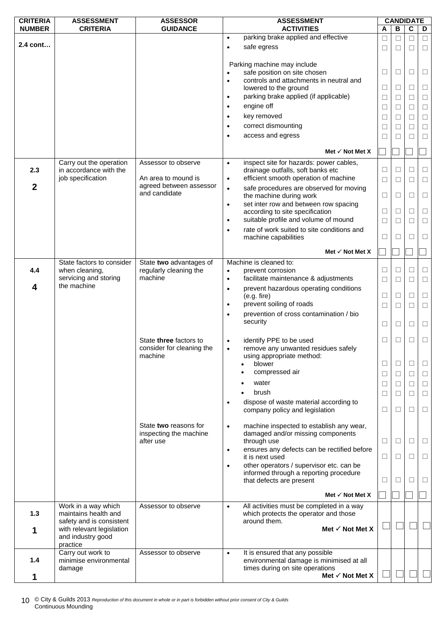| <b>CRITERIA</b> | <b>ASSESSMENT</b>                           | <b>ASSESSOR</b>                                | <b>ASSESSMENT</b>                                                                               |                |                   | <b>CANDIDATE</b> |        |
|-----------------|---------------------------------------------|------------------------------------------------|-------------------------------------------------------------------------------------------------|----------------|-------------------|------------------|--------|
| <b>NUMBER</b>   | <b>CRITERIA</b>                             | <b>GUIDANCE</b>                                | <b>ACTIVITIES</b>                                                                               | A              | В                 | $\mathbf c$      | D      |
|                 |                                             |                                                | parking brake applied and effective<br>$\bullet$                                                | □              | □                 | $\Box$           | $\Box$ |
| 2.4 cont        |                                             |                                                | safe egress<br>$\bullet$                                                                        | $\blacksquare$ | П                 | П                | $\Box$ |
|                 |                                             |                                                | Parking machine may include<br>safe position on site chosen<br>$\bullet$                        | □              | □                 | $\Box$           | □      |
|                 |                                             |                                                | controls and attachments in neutral and<br>$\bullet$                                            |                |                   |                  |        |
|                 |                                             |                                                | lowered to the ground                                                                           | □              | $\Box$            | □                | $\Box$ |
|                 |                                             |                                                | parking brake applied (if applicable)<br>$\bullet$                                              | □              | П                 | П                | $\Box$ |
|                 |                                             |                                                | engine off<br>$\bullet$                                                                         | $\Box$         | □                 | $\Box$           | $\Box$ |
|                 |                                             |                                                | key removed<br>$\bullet$                                                                        | $\Box$         | □                 | П                | $\Box$ |
|                 |                                             |                                                | correct dismounting<br>$\bullet$                                                                | □              | $\mathbf{L}$      | П                | $\Box$ |
|                 |                                             |                                                | access and egress<br>$\bullet$                                                                  | □              | □                 | П                | $\Box$ |
|                 |                                             |                                                | Met $\checkmark$ Not Met X                                                                      |                |                   |                  |        |
|                 | Carry out the operation                     | Assessor to observe                            | inspect site for hazards: power cables,<br>$\bullet$                                            |                |                   |                  |        |
| 2.3             | in accordance with the                      |                                                | drainage outfalls, soft banks etc                                                               | □              | $\vert \ \ \vert$ | $\blacksquare$   | □      |
|                 | job specification                           | An area to mound is<br>agreed between assessor | efficient smooth operation of machine<br>$\bullet$                                              | $\Box$         | $\Box$            | □                | $\Box$ |
| $\mathbf 2$     |                                             | and candidate                                  | safe procedures are observed for moving<br>$\bullet$                                            | □              | $\Box$            | □                | $\Box$ |
|                 |                                             |                                                | the machine during work<br>set inter row and between row spacing<br>$\bullet$                   |                |                   |                  |        |
|                 |                                             |                                                | according to site specification                                                                 | □              | ⊔                 | □                | $\Box$ |
|                 |                                             |                                                | suitable profile and volume of mound<br>$\bullet$                                               | $\Box$         | П                 | П                | $\Box$ |
|                 |                                             |                                                | rate of work suited to site conditions and<br>$\bullet$                                         |                |                   |                  |        |
|                 |                                             |                                                | machine capabilities                                                                            | ⊔              | $\Box$            | $\Box$           | Ш      |
|                 |                                             |                                                | Met $\checkmark$ Not Met X                                                                      |                |                   |                  |        |
|                 | State factors to consider                   | State two advantages of                        | Machine is cleaned to:                                                                          |                |                   |                  |        |
| 4.4             | when cleaning,                              | regularly cleaning the<br>machine              | prevent corrosion<br>$\bullet$                                                                  | □              | ⊔                 | ⊔                | $\Box$ |
| 4               | servicing and storing<br>the machine        |                                                | facilitate maintenance & adjustments<br>$\bullet$                                               | $\Box$         | ⊔                 | □                | □      |
|                 |                                             |                                                | prevent hazardous operating conditions<br>$\bullet$<br>(e.g. fire)                              | $\Box$         | □                 | $\Box$           | $\Box$ |
|                 |                                             |                                                | prevent soiling of roads<br>$\bullet$                                                           | $\Box$         | □                 | □                | $\Box$ |
|                 |                                             |                                                | prevention of cross contamination / bio<br>$\bullet$                                            |                |                   |                  |        |
|                 |                                             |                                                | security                                                                                        |                |                   |                  |        |
|                 |                                             |                                                |                                                                                                 | □              | ⊔                 | □                | □      |
|                 |                                             | State three factors to                         | identify PPE to be used<br>$\bullet$                                                            | Ш              | $\Box$            | $\Box$           | $\Box$ |
|                 |                                             | consider for cleaning the                      | remove any unwanted residues safely<br>$\bullet$                                                |                |                   |                  |        |
|                 |                                             | machine                                        | using appropriate method:                                                                       |                |                   |                  |        |
|                 |                                             |                                                | blower                                                                                          | □              | □                 | □                | $\Box$ |
|                 |                                             |                                                | compressed air                                                                                  | $\Box$         | $\Box$            | $\Box$           | $\Box$ |
|                 |                                             |                                                | water                                                                                           | $\Box$         | $\Box$            | $\Box$           | $\Box$ |
|                 |                                             |                                                | brush                                                                                           | □              | $\Box$            | $\Box$           | $\Box$ |
|                 |                                             |                                                | dispose of waste material according to<br>$\bullet$                                             |                |                   |                  |        |
|                 |                                             |                                                | company policy and legislation                                                                  | Ш              | ⊔                 | П                | □      |
|                 |                                             | State two reasons for                          | machine inspected to establish any wear,<br>$\bullet$                                           |                |                   |                  |        |
|                 |                                             | inspecting the machine                         | damaged and/or missing components                                                               |                |                   |                  |        |
|                 |                                             | after use                                      | through use                                                                                     | $\Box$         | ⊔                 | Ш                | ⊔      |
|                 |                                             |                                                | ensures any defects can be rectified before<br>$\bullet$                                        |                |                   |                  |        |
|                 |                                             |                                                | it is next used<br>other operators / supervisor etc. can be<br>$\bullet$                        | ⊔              | ⊔                 | ⊔                | Ш      |
|                 |                                             |                                                | informed through a reporting procedure                                                          |                |                   |                  |        |
|                 |                                             |                                                | that defects are present                                                                        | ⊔              | ⊔                 | □                | ⊔      |
|                 |                                             |                                                |                                                                                                 |                |                   |                  |        |
|                 |                                             |                                                | Met $\checkmark$ Not Met X                                                                      |                |                   |                  |        |
| 1.3             | Work in a way which<br>maintains health and | Assessor to observe                            | All activities must be completed in a way<br>$\bullet$<br>which protects the operator and those |                |                   |                  |        |
|                 | safety and is consistent                    |                                                | around them.                                                                                    |                |                   |                  |        |
| 1               | with relevant legislation                   |                                                | Met $\checkmark$ Not Met X                                                                      |                |                   |                  |        |
|                 | and industry good                           |                                                |                                                                                                 |                |                   |                  |        |
|                 | practice                                    |                                                |                                                                                                 |                |                   |                  |        |
| 1.4             | Carry out work to<br>minimise environmental | Assessor to observe                            | It is ensured that any possible<br>$\bullet$<br>environmental damage is minimised at all        |                |                   |                  |        |
|                 | damage                                      |                                                | times during on site operations                                                                 |                |                   |                  |        |
| 1               |                                             |                                                | Met √ Not Met X                                                                                 |                |                   |                  |        |